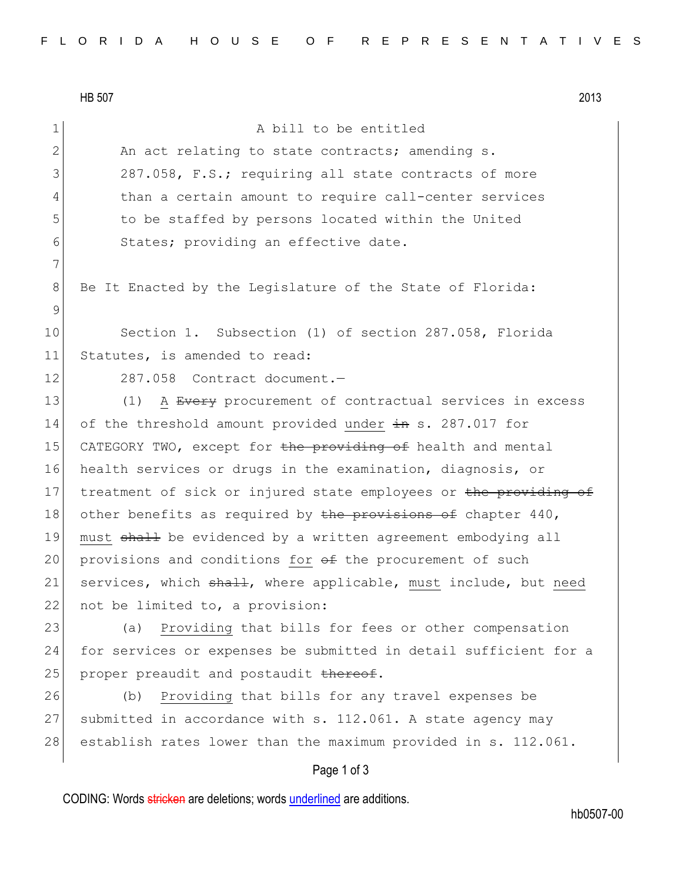7

9

HB 507 2013 Page 1 of 3 1 A bill to be entitled 2 An act relating to state contracts; amending s. 3 287.058, F.S.; requiring all state contracts of more 4 than a certain amount to require call-center services 5 to be staffed by persons located within the United 6 States; providing an effective date. 8 Be It Enacted by the Legislature of the State of Florida: 10 Section 1. Subsection (1) of section 287.058, Florida 11 Statutes, is amended to read: 12 287.058 Contract document. 13 (1) A Every procurement of contractual services in excess 14 of the threshold amount provided under  $\pm n$  s. 287.017 for 15 CATEGORY TWO, except for the providing of health and mental 16 health services or drugs in the examination, diagnosis, or 17 treatment of sick or injured state employees or the providing of 18 other benefits as required by the provisions of chapter  $440$ , 19 must shall be evidenced by a written agreement embodying all 20 provisions and conditions for  $\theta$  the procurement of such 21 services, which shall, where applicable, must include, but need 22 not be limited to, a provision: 23 (a) Providing that bills for fees or other compensation 24 for services or expenses be submitted in detail sufficient for a 25 proper preaudit and postaudit  $t$  thereof. 26 (b) Providing that bills for any travel expenses be 27 submitted in accordance with s. 112.061. A state agency may 28 establish rates lower than the maximum provided in s. 112.061.

CODING: Words stricken are deletions; words underlined are additions.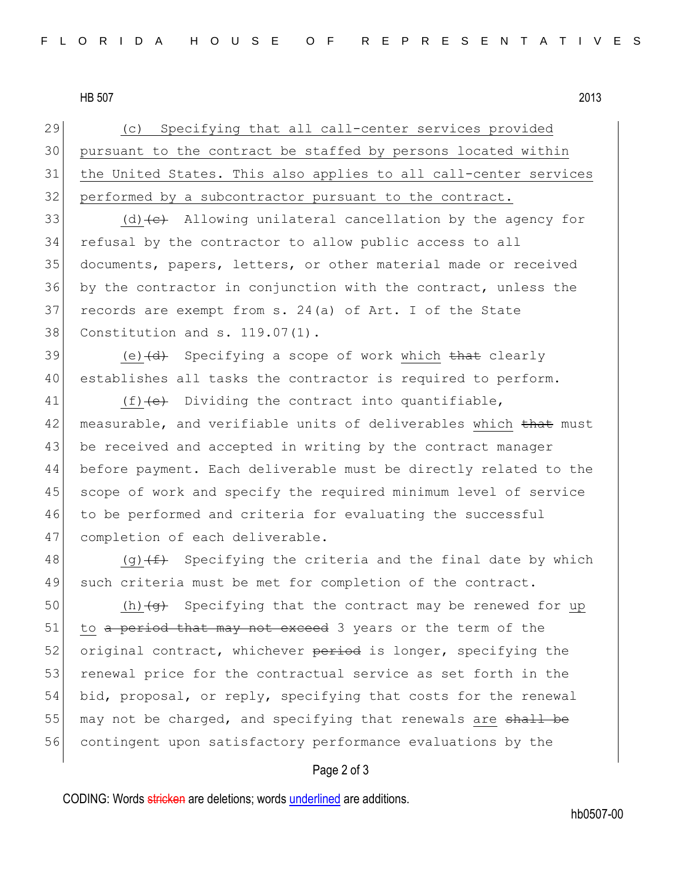HB 507 2013

29 (c) Specifying that all call-center services provided 30 pursuant to the contract be staffed by persons located within 31 the United States. This also applies to all call-center services 32 performed by a subcontractor pursuant to the contract.

33 (d) $\left(\text{d}\right)$  Allowing unilateral cancellation by the agency for refusal by the contractor to allow public access to all documents, papers, letters, or other material made or received by the contractor in conjunction with the contract, unless the records are exempt from s. 24(a) of Art. I of the State Constitution and s. 119.07(1).

39 (e) $\left(\frac{d}{dt}\right)$  Specifying a scope of work which that clearly 40 establishes all tasks the contractor is required to perform.

41  $(f)$  (f)  $\leftrightarrow$  Dividing the contract into quantifiable, 42 measurable, and verifiable units of deliverables which that must 43 be received and accepted in writing by the contract manager 44 before payment. Each deliverable must be directly related to the 45 scope of work and specify the required minimum level of service 46 to be performed and criteria for evaluating the successful 47 completion of each deliverable.

48 (g) $(f)$  Specifying the criteria and the final date by which 49 such criteria must be met for completion of the contract.

50 (h) $\left\langle \Theta \right\rangle$  Specifying that the contract may be renewed for up 51 to a period that may not exceed 3 years or the term of the 52 original contract, whichever period is longer, specifying the 53 renewal price for the contractual service as set forth in the 54 bid, proposal, or reply, specifying that costs for the renewal 55 may not be charged, and specifying that renewals are shall be 56 contingent upon satisfactory performance evaluations by the

## Page 2 of 3

CODING: Words stricken are deletions; words underlined are additions.